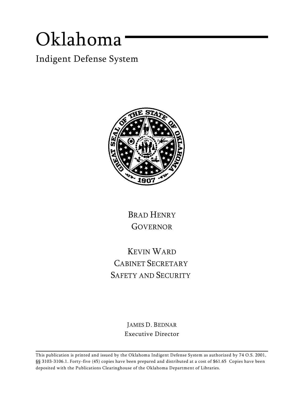# *Oklahoma*

*Indigent Defense System*



BRAD HENRY GOVERNOR

KEVIN WARD CABINET SECRETARY SAFETY AND SECURITY

> JAMES D. BEDNAR Executive Director

This publication is printed and issued by the Oklahoma Indigent Defense System as authorized by 74 O.S. 2001, §§ 3103-3106.1. Forty-five (45) copies have been prepared and distributed at a cost of \$61.65 Copies have been deposited with the Publications Clearinghouse of the Oklahoma Department of Libraries.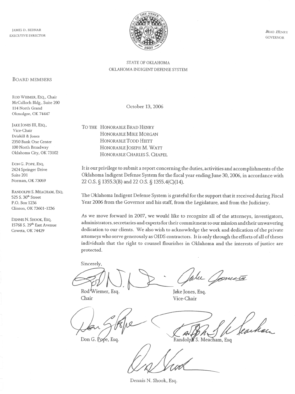**JAMES D. BEDNAR EXECUTIVE DIRECTOR** 



**BRAD HENRY GOVERNOR** 

#### STATE OF OKLAHOMA OKLAHOMA INDIGENT DEFENSE SYSTEM

#### **BOARD MEMBERS**

ROD WIEMER, ESQ., Chair McCulloch Bldg., Suite 200 114 North Grand Okmulgee, OK 74447

JAKE JONES III, ESQ., Vice-Chair Driskill & Jones 2350 Bank One Center 100 North Broadway Oklahoma City, OK 73102

DON G. POPE, ESQ. 2424 Springer Drive Suite 201 Norman, OK 73069

RANDOLPH S. MEACHAM, ESQ. 525 S. 30<sup>th</sup> Street P.O. Box 1236 Clinton, OK 73601-1236

DENNIS N. SHOOK, ESQ. 15768 S. 29<sup>th</sup> East Avenue Coweta, OK 74429

October 13, 2006

TO THE HONORABLE BRAD HENRY HONORABLE MIKE MORGAN HONORABLE TODD HIETT HONORABLE JOSEPH M. WATT HONORABLE CHARLES S. CHAPEL

It is our privilege to submit a report concerning the duties, activities and accomplishments of the Oklahoma Indigent Defense System for the fiscal year ending June 30, 2006, in accordance with 22 O.S. § 1355.3(B) and 22 O.S. § 1355.4(C)(14).

The Oklahoma Indigent Defense System is grateful for the support that it received during Fiscal Year 2006 from the Governor and his staff, from the Legislature, and from the Judiciary.

As we move forward in 2007, we would like to recognize all of the attorneys, investigators, administrators, secretaries and experts for their commitment to our mission and their unwavering dedication to our clients. We also wish to acknowledge the work and dedication of the private attorneys who serve generously as OIDS contractors. It is only through the efforts of all of theses individuals that the right to counsel flourishes in Oklahoma and the interests of justice are protected.

Sincerely,

lu Cometa

Rod Wiemer, Esq. Chair

Jake Jones, Esq. Vice-Chair

Don G. Pope, Esq.

Jeacher. Randolph S. Meacham, Esq

Dennis N. Shook, Esq.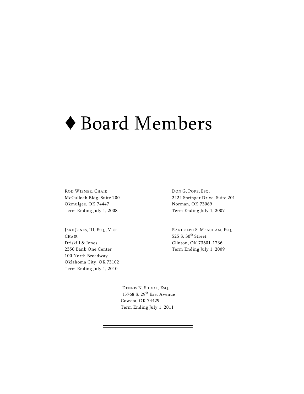# ◆ Board Members

ROD WIEMER, CHAIR McCulloch Bldg. Suite 200 Okmulgee, OK 74447 Term Ending July 1, 2008

JAKE JONES, III, ESQ., VICE **CHAIR** Driskill & Jones 2350 Bank One Center 100 North Broadway Oklahoma City, OK 73102 Term Ending July 1, 2010

DON G. POPE, ESQ. 2424 Springer Drive, Suite 201 Norman, OK 73069 Term Ending July 1, 2007

RANDOLPH S. MEACHAM, ESQ. 525 S.  $30<sup>th</sup>$  Street Clinton, OK 73601-1236 Term Ending July 1, 2009

 DENNIS N. SHOOK, ESQ. 15768 S. 29 $^{\rm th}$  East Avenue Coweta, OK 74429 Term Ending July 1, 2011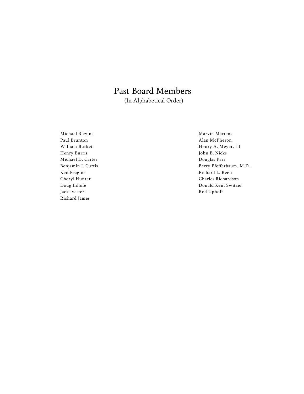### Past Board Members (In Alphabetical Order)

Michael Blevins Paul Brunton William Burkett Henry Burris Michael D. Carter Benjamin J. Curtis Ken Feagins Cheryl Hunter Doug Inhofe Jack Ivester Richard James

Marvin Martens Alan McPheron Henry A. Meyer, III John B. Nicks Douglas Parr Berry Pfefferbaum, M.D. Richard L. Reeh Charles Richardson Donald Kent Switzer Rod Uphoff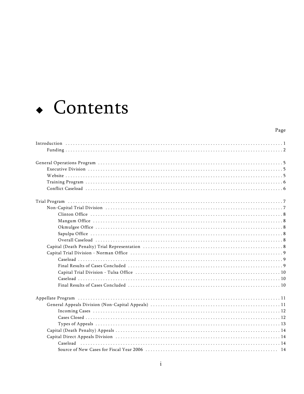

#### Page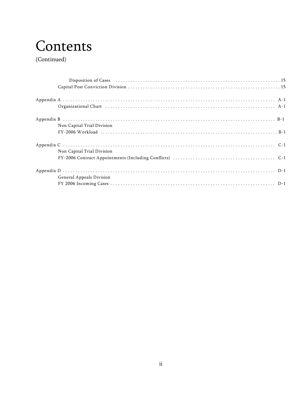## Contents

(Continued)

| Organizational Chart (1996) A-1 |  |
|---------------------------------|--|
|                                 |  |
| Non Capital Trial Division      |  |
| Non Capital Trial Division      |  |
|                                 |  |
| <b>General Appeals Division</b> |  |
|                                 |  |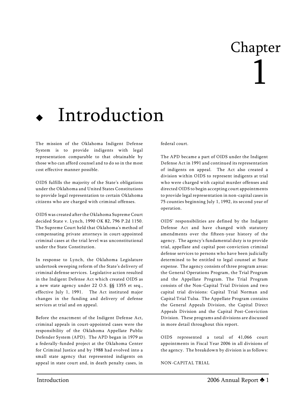# Chapter 1

# Introduction

The mission of the Oklahoma Indigent Defense System is to provide indigents with legal representation comparable to that obtainable by those who can afford counsel and to do so in the most cost effective manner possible.

OIDS fulfills the majority of the State's obligations under the Oklahoma and United States Constitutions to provide legal representation to certain Oklahoma citizens who are charged with criminal offenses.

OIDS was created after the Oklahoma Supreme Court decided *State v. Lynch*, 1990 OK 82, 796 P.2d 1150. The Supreme Court held that Oklahoma's method of compensating private attorneys in court-appointed criminal cases at the trial level was unconstitutional under the State Constitution.

In response to *Lynch*, the Oklahoma Legislature undertook sweeping reform of the State's delivery of criminal defense services. Legislative action resulted in the Indigent Defense Act which created OIDS as a new state agency under 22 O.S. §§ 1355 *et seq.*, effective July 1, 1991. The Act instituted major changes in the funding and delivery of defense services at trial and on appeal.

Before the enactment of the Indigent Defense Act, criminal appeals in court-appointed cases were the responsibility of the Oklahoma Appellate Public Defender System (APD). The APD began in 1979 as a federally-funded project at the Oklahoma Center for Criminal Justice and by 1988 had evolved into a small state agency that represented indigents on appeal in state court and, in death penalty cases, in

federal court.

The APD became a part of OIDS under the Indigent Defense Act in 1991 and continued its representation of indigents on appeal. The Act also created a division within OIDS to represent indigents at trial who were charged with capital murder offenses and directed OIDS to begin accepting court appointments to provide legal representation in non-capital cases in 75 counties beginning July 1, 1992, its second year of operation.

OIDS' responsibilities are defined by the Indigent Defense Act and have changed with statutory amendments over the fifteen-year history of the agency. The agency's fundamental duty is to provide trial, appellate and capital post-conviction criminal defense services to persons who have been judicially determined to be entitled to legal counsel at State expense. The agency consists of three program areas: the General Operations Program, the Trial Program and the Appellate Program. The Trial Program consists of the Non-Capital Trial Division and two capital trial divisions: Capital Trial Norman and Capital Trial Tulsa. The Appellate Program contains the General Appeals Division, the Capital Direct Appeals Division and the Capital Post-Conviction Division. These programs and divisions are discussed in more detail throughout this report.

OIDS represented a total of 41,066 court appointments in Fiscal Year 2006 in all divisions of the agency. The breakdown by division is as follows:

NON-CAPITAL TRIAL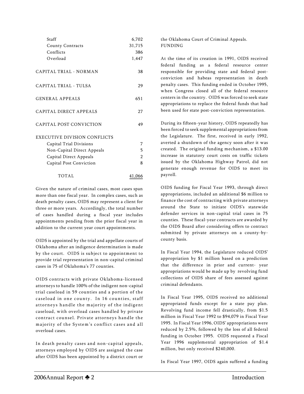| Staff                               | 6,702         |
|-------------------------------------|---------------|
| <b>County Contracts</b>             | 31,715        |
| Conflicts                           | 386           |
| Overload                            | 1,447         |
| CAPITAL TRIAL - NORMAN              | 38            |
| CAPITAL TRIAL - TULSA               | 29            |
| <b>GENERAL APPEALS</b>              | 651           |
| CAPITAL DIRECT APPEALS              | 27            |
| CAPITAL POST CONVICTION             | 49            |
| <b>EXECUTIVE DIVISION CONFLICTS</b> |               |
| Capital Trial Divisions             | 7             |
| Non-Capital Direct Appeals          | 5             |
| <b>Capital Direct Appeals</b>       | $\mathcal{P}$ |
| Capital Post Conviction             | 8             |
| TOTAL                               | 41,066        |

Given the nature of criminal cases, most cases span more than one fiscal year. In complex cases, such as death penalty cases, OIDS may represent a client for three or more years. Accordingly, the total number of cases handled during a fiscal year includes appointments pending from the prior fiscal year in addition to the current year court appointments.

OIDS is appointed by the trial and appellate courts of Oklahoma after an indigence determination is made by the court. OIDS is subject to appointment to provide trial representation in non-capital criminal cases in 75 of Oklahoma's 77 counties.

OIDS contracts with private Oklahoma-licensed attorneys to handle 100% of the indigent non-capital trial caseload in 59 counties and a portion of the caseload in one county. In 16 counties, staff attorneys handle the majority of the indigent caseload, with overload cases handled by private contract counsel. Private attorneys handle the majority of the System's conflict cases and all overload cases.

In death penalty cases and non-capital appeals, attorneys employed by OIDS are assigned the case after OIDS has been appointed by a district court or the Oklahoma Court of Criminal Appeals. FUNDING

At the time of its creation in 1991, OIDS received federal funding as a federal resource center responsible for providing state and federal postconviction and habeas representation in death penalty cases. This funding ended in October 1995, when Congress closed all of the federal resource centers in the country. OIDS was forced to seek state appropriations to replace the federal funds that had been used for state post-conviction representation.

During its fifteen-year history, OIDS repeatedly has been forced to seek supplemental appropriations from the Legislature. The first, received in early 1992, averted a shutdown of the agency soon after it was created. The original funding mechanism, a \$13.00 increase in statutory court costs on traffic tickets issued by the Oklahoma Highway Patrol, did not generate enough revenue for OIDS to meet its payroll.

OIDS funding for Fiscal Year 1993, through direct appropriations, included an additional \$6 million to finance the cost of contracting with private attorneys around the State to initiate OIDS's statewide defender services in non-capital trial cases in 75 counties. These fiscal-year contracts are awarded by the OIDS Board after considering offers to contract submitted by private attorneys on a county-bycounty basis.

In Fiscal Year 1994, the Legislature reduced OIDS' appropriation by \$1 million based on a prediction that the difference in prior and current- year appropriations would be made up by revolving fund collections of OIDS share of fees assessed against criminal defendants.

In Fiscal Year 1995, OIDS received no additional appropriated funds except for a state pay plan. Revolving fund income fell drastically, from \$1.5 million in Fiscal Year 1992 to \$94,079 in Fiscal Year 1995. In Fiscal Year 1996, OIDS' appropriations were reduced by 2.5%, followed by the loss of all federal funding in October 1995. OIDS requested a Fiscal Year 1996 supplemental appropriation of \$1.4 million, but only received \$240,000.

In Fiscal Year 1997, OIDS again suffered a funding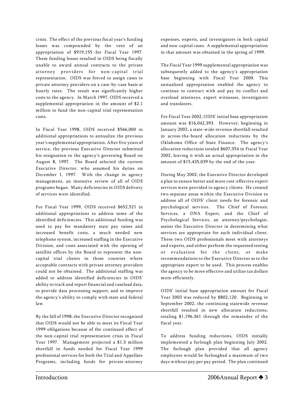crisis. The effect of the previous fiscal year's funding losses was compounded by the veto of an appropriation of \$919,155 for Fiscal Year 1997. These funding losses resulted in OIDS being fiscally unable to award annual contracts to the private attorney providers for non-capital trial representation. OIDS was forced to assign cases to private attorney providers on a case-by-case basis at hourly rates. The result was significantly higher costs to the agency. In March 1997, OIDS received a supplemental appropriation in the amount of \$2.1 million to fund the non-capital trial representation costs.

In Fiscal Year 1998, OIDS received \$566,000 in additional appropriations to annualize the previous year's supplemental appropriation. After five years of service, the previous Executive Director submitted his resignation to the agency's governing Board on August 8, 1997. The Board selected the current Executive Director, who assumed his duties on December 1, 1997. With the change in agency management, an intensive review of all of OIDS programs began. Many deficiencies in OIDS delivery of services were identified.

For Fiscal Year 1999, OIDS received \$652,521 in additional appropriations to address some of the identified deficiencies. This additional funding was used to pay for mandatory state pay raises and increased benefit costs, a much needed new telephone system, increased staffing in the Executive Division, and costs associated with the opening of satellite offices by the Board to represent the noncapital trial clients in those counties where acceptable contracts with private attorney providers could not be obtained. The additional staffing was added to address identified deficiencies in OIDS' ability to track and report financial and caseload data, to provide data processing support, and to improve the agency's ability to comply with state and federal law.

By the fall of 1998, the Executive Director recognized that OIDS would not be able to meet its Fiscal Year 1999 obligations because of the continued effect of the non-capital trial representation crisis in Fiscal Year 1997. Management projected a \$1.3 million shortfall in funds needed for Fiscal Year 1999 professional services for both the Trial and Appellate Programs, including funds for private-attorney

expenses, experts, and investigators in both capital and non-capital cases. A supplemental appropriation in that amount was obtained in the spring of 1999.

The Fiscal Year 1999 supplemental appropriation was subsequently added to the agency's appropriation base beginning with Fiscal Year 2000. This annualized appropriation enabled the agency to continue to contract with and pay its conflict and overload attorneys, expert witnesses, investigators and translators.

For Fiscal Year 2002, OIDS' initial base appropriation amount was \$16,042,393. However, beginning in January 2002, a state-wide revenue shortfall resulted in across-the-board allocation reductions by the Oklahoma Office of State Finance. The agency's allocation reductions totaled \$607,354 in Fiscal Year 2002, leaving it with an actual appropriation in the amount of \$15,435,039 by the end of the year.

During May 2002, the Executive Director developed a plan to ensure better and more cost-effective expert services were provided to agency clients. He created two separate areas within the Executive Division to address all of OIDS' client needs for forensic and psychological services. The Chief of Forensic Services, a DNA Expert, and the Chief of Psychological Services, an attorney/psychologist, assists the Executive Director in determining what services are appropriate for each individual client. These two OIDS professionals meet with attorneys and experts, and either perform the requested testing or evaluation for the client, or make recommendations to the Executive Director as to the appropriate expert to be used. This process enables the agency to be more effective and utilize tax dollars more efficiently.

OIDS' initial base appropriation amount for Fiscal Year 2003 was reduced by \$802,120. Beginning in September 2002, the continuing statewide revenue shortfall resulted in new allocation reductions, totaling \$1,196,361 through the remainder of the fiscal year.

To address funding reductions, OIDS initially implemented a furlough plan beginning July 2002. The furlough plan provided that all agency employees would be furloughed a maximum of two days without pay per pay period. The plan continued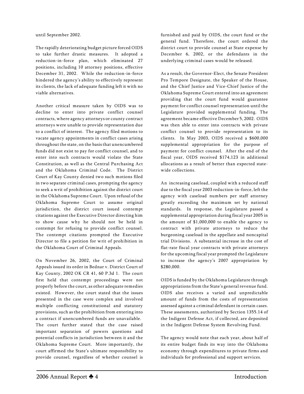until September 2002.

The rapidly deteriorating budget picture forced OIDS to take further drastic measures. It adopted a reduction-in-force plan, which eliminated 27 positions, including 10 attorney positions, effective December 31, 2002. While the reduction-in-force hindered the agency's ability to effectively represent its clients, the lack of adequate funding left it with no viable alternatives.

Another critical measure taken by OIDS was to decline to enter into private conflict counsel contracts, where agency attorneys or county contract attorneys were unable to provide representation due to a conflict of interest. The agency filed motions to vacate agency appointments in conflict cases arising throughout the state, on the basis that unencumbered funds did not exist to pay for conflict counsel, and to enter into such contracts would violate the State Constitution, as well as the Central Purchasing Act and the Oklahoma Criminal Code. The District Court of Kay County denied two such motions filed in two separate criminal cases, prompting the agency to seek a writ of prohibition against the district court in the Oklahoma Supreme Court. Upon refusal of the Oklahoma Supreme Court to assume original jurisdiction, the district court issued contempt citations against the Executive Director directing him to show cause why he should not be held in contempt for refusing to provide conflict counsel. The contempt citations prompted the Executive Director to file a petition for writ of prohibition in the Oklahoma Court of Criminal Appeals.

On November 26, 2002, the Court of Criminal Appeals issued its order in *Bednar v. District Court of Kay County*, 2002 OK CR 41, 60 P.3d 1. The court first held that contempt proceedings were not properly before the court, as other adequate remedies existed. However, the court stated that the issues presented in the case were complex and involved multiple conflicting constitutional and statutory provisions, such as the prohibition from entering into a contract if unencumbered funds are unavailable. The court further stated that the case raised important separation of powers questions and potential conflicts in jurisdiction between it and the Oklahoma Supreme Court. More importantly, the court affirmed the *State's* ultimate responsibility to provide counsel, regardless of whether counsel is

furnished and paid by OIDS, the court fund or the general fund. Therefore, the court ordered the district court to provide counsel at State expense by December 6, 2002, or the defendants in the underlying criminal cases would be released.

As a result, the Governor-Elect, the Senate President Pro Tempore Designate, the Speaker of the House, and the Chief Justice and Vice-Chief Justice of the Oklahoma Supreme Court entered into an agreement providing that the court fund would guarantee payment for conflict counsel representation until the Legislature provided supplemental funding. The agreement became effective December 5, 2002. OIDS was then able to enter into contracts with private conflict counsel to provide representation to its clients. In May 2003, OIDS received a \$600,000 supplemental appropriation for the purpose of payment for conflict counsel. After the end of the fiscal year, OIDS received \$174,123 in additional allocations as a result of better than expected statewide collections.

An increasing caseload, coupled with a reduced staff due to the fiscal year 2003 reduction-in-force, left the agency with caseload numbers per staff attorney greatly exceeding the maximum set by national standards. In response, the Legislature passed a supplemental appropriation during fiscal year 2005 in the amount of \$1,000,000 to enable the agency to contract with private attorneys to reduce the burgeoning caseload in the appellate and noncapital trial Divisions. A substantial increase in the cost of flat-rate fiscal year contracts with private attorneys for the upcoming fiscal year prompted the Legislature to increase the agency's 2007 appropriation by \$280,000.

OIDS is funded by the Oklahoma Legislature through appropriations from the State's general revenue fund. OIDS also receives a varied and unpredictable amount of funds from the costs of representation assessed against a criminal defendant in certain cases. These assessments, authorized by Section 1355.14 of the Indigent Defense Act, if collected, are deposited in the Indigent Defense System Revolving Fund.

The agency would note that each year, about half of its entire budget finds its way into the Oklahoma economy through expenditures to private firms and individuals for professional and support services.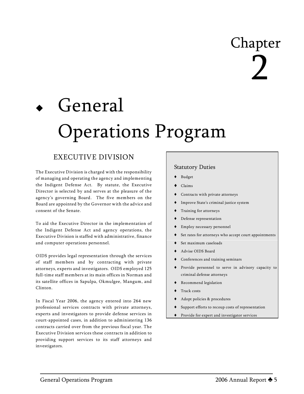# Chapter 2

# General Operations Program

### *EXECUTIVE DIVISION*

The Executive Division is charged with the responsibility of managing and operating the agency and implementing the Indigent Defense Act. By statute, the Executive Director is selected by and serves at the pleasure of the agency's governing Board. The five members on the Board are appointed by the Governor with the advice and consent of the Senate.

To aid the Executive Director in the implementation of the Indigent Defense Act and agency operations, the Executive Division is staffed with administrative, finance and computer operations personnel.

OIDS provides legal representation through the services of staff members and by contracting with private attorneys, experts and investigators. OIDS employed 125 full-time staff members at its main offices in Norman and its satellite offices in Sapulpa, Okmulgee, Mangum, and Clinton.

In Fiscal Year 2006, the agency entered into 264 new professional services contracts with private attorneys, experts and investigators to provide defense services in court-appointed cases, in addition to administering 136 contracts carried over from the previous fiscal year. The Executive Division services these contracts in addition to providing support services to its staff attorneys and investigators.

#### Statutory Duties

- Budget
- Claims
- Contracts with private attorneys
- Improve State's criminal justice system
- Training for attorneys
- Defense representation
- Employ necessary personnel
- Set rates for attorneys who accept court appointments
- Set maximum caseloads
- Ë Advise OIDS Board
- Conferences and training seminars
- Provide personnel to serve in advisory capacity to criminal defense attorneys
- Recommend legislation
- Track costs
- Ë Adopt policies & procedures
- Support efforts to recoup costs of representation
- Ë Provide for expert and investigator services

l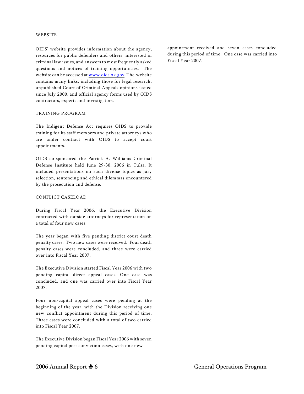#### **WEBSITE**

OIDS' website provides information about the agency, resources for public defenders and others interested in criminal law issues, and answers to most frequently asked questions and notices of training opportunities. The website can be accessed at [www.oids.ok.gov](http://www.oids.ok.gov). The website contains many links, including those for legal research, unpublished Court of Criminal Appeals opinions issued since July 2000, and official agency forms used by OIDS contractors, experts and investigators.

#### TRAINING PROGRAM

The Indigent Defense Act requires OIDS to provide training for its staff members and private attorneys who are under contract with OIDS to accept court appointments.

OIDS co-sponsored the Patrick A. Williams Criminal Defense Institute held June 29-30, 2006 in Tulsa. It included presentations on such diverse topics as jury selection, sentencing and ethical dilemmas encountered by the prosecution and defense.

#### CONFLICT CASELOAD

During Fiscal Year 2006, the Executive Division contracted with outside attorneys for representation on a total of four new cases.

The year began with five pending district court death penalty cases. Two new cases were received. Four death penalty cases were concluded, and three were carried over into Fiscal Year 2007.

The Executive Division started Fiscal Year 2006 with two pending capital direct appeal cases. One case was concluded, and one was carried over into Fiscal Year 2007.

Four non-capital appeal cases were pending at the beginning of the year, with the Division receiving one new conflict appointment during this period of time. Three cases were concluded with a total of two carried into Fiscal Year 2007.

The Executive Division began Fiscal Year 2006 with seven pending capital post conviction cases, with one new

appointment received and seven cases concluded during this period of time. One case was carried into Fiscal Year 2007.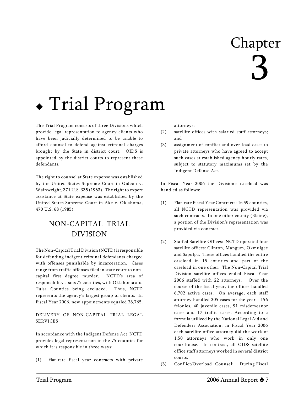# Chapter 3

# Trial Program

The Trial Program consists of three Divisions which provide legal representation to agency clients who have been judicially determined to be unable to afford counsel to defend against criminal charges brought by the State in district court. OIDS is appointed by the district courts to represent these defendants.

The right to counsel at State expense was established by the United States Supreme Court in *Gideon v. Wainwright,* 371 U.S. 335 (1963). The right to expert assistance at State expense was established by the United States Supreme Court in *Ake v. Oklahoma,* 470 U.S. 68 (1985).

## *NON-CAPITAL TRIAL DIVISION*

The Non-Capital Trial Division (NCTD) is responsible for defending indigent criminal defendants charged with offenses punishable by incarceration. Cases range from traffic offenses filed in state court to noncapital first degree murder. NCTD's area of responsibility spans 75 counties, with Oklahoma and Tulsa Counties being excluded. Thus, NCTD represents the agency's largest group of clients. In Fiscal Year 2006, new appointments equaled 28,765.

DELIVERY OF NON-CAPITAL TRIAL LEGAL SERVICES

In accordance with the Indigent Defense Act, NCTD provides legal representation in the 75 counties for which it is responsible in three ways:

(1) flat-rate fiscal year contracts with private

attorneys;

- (2) satellite offices with salaried staff attorneys; and
- (3) assignment of conflict and over-load cases to private attorneys who have agreed to accept such cases at established agency hourly rates, subject to statutory maximums set by the Indigent Defense Act.

In Fiscal Year 2006 the Division's caseload was handled as follows:

- (1) Flat-rate Fiscal Year Contracts: In 59 counties, all NCTD representation was provided via such contracts. In one other county (Blaine), a portion of the Division's representation was provided via contract.
- (2) Staffed Satellite Offices: NCTD operated four satellite offices: Clinton, Mangum, Okmulgee and Sapulpa. These offices handled the entire caseload in 15 counties and part of the caseload in one other. The Non-Capital Trial Division satellite offices ended Fiscal Year 2006 staffed with 22 attorneys. Over the course of the fiscal year, the offices handled 6,702 active cases. On average, each staff attorney handled 305 cases for the year – 156 felonies, 40 juvenile cases, 91 misdemeanor cases and 17 traffic cases. According to a formula utilized by the National Legal Aid and Defenders Association, in Fiscal Year 2006 each satellite office attorney did the work of 1.50 attorneys who work in only one courthouse. In contrast, all OIDS satellite office staff attorneys worked in several district courts.
- (3) Conflict/Overload Counsel: During Fiscal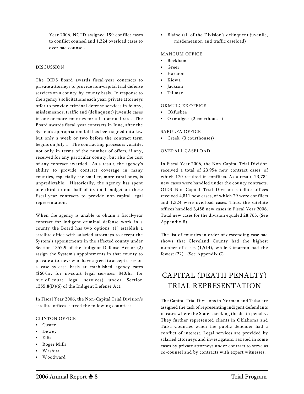Year 2006, NCTD assigned 199 conflict cases to conflict counsel and 1,324 overload cases to overload counsel.

#### DISCUSSION

The OIDS Board awards fiscal-year contracts to private attorneys to provide non-capital trial defense services on a county-by-county basis. In response to the agency's solicitations each year, private attorneys offer to provide criminal defense services in felony, misdemeanor, traffic and (delinquent) juvenile cases in one or more counties for a flat annual rate. The Board awards fiscal-year contracts in June, after the System's appropriation bill has been signed into law but only a week or two before the contract term begins on July 1. The contracting process is volatile, not only in terms of the number of offers, if any, received for any particular county, but also the cost of any contract awarded. As a result, the agency's ability to provide contract coverage in many counties, especially the smaller, more rural ones, is unpredictable. Historically, the agency has spent one-third to one-half of its total budget on these fiscal-year contracts to provide non-capital legal representation.

When the agency is unable to obtain a fiscal-year contract for indigent criminal defense work in a county the Board has two options: (1) establish a satellite office with salaried attorneys to accept the System's appointments in the affected county under Section 1355.9 of the Indigent Defense Act or (2) assign the System's appointments in that county to private attorneys who have agreed to accept cases on a case-by-case basis at established agency rates (\$60/hr. for in-court legal services; \$40/hr. for out-of-court legal services) under Section 1355.8(D)(6) of the Indigent Defense Act.

In Fiscal Year 2006, the Non-Capital Trial Division's satellite offices served the following counties:

#### CLINTON OFFICE

- Custer
- Dewey
- C Ellis
- Roger Mills
- Washita
- Woodward

C Blaine *(all of the Division's delinquent juvenile, misdemeanor, and traffic caseload)*

#### MANGUM OFFICE

- Beckham
- Greer
- Harmon
- Kiowa
- **Jackson**
- Tillman

#### OKMULGEE OFFICE

- Okfuskee
- Okmulgee (2 courthouses)

#### SAPULPA OFFICE

• Creek (3 courthouses)

#### OVERALL CASELOAD

In Fiscal Year 2006, the Non-Capital Trial Division received a total of 23,954 new contract cases, of which 170 resulted in conflicts. As a result, 23,784 new cases were handled under the county contracts. OIDS Non-Capital Trial Division satellite offices received 4,811 new cases, of which 29 were conflicts and 1,324 were overload cases. Thus, the satellite offices handled 3,458 new cases in Fiscal Year 2006. Total new cases for the division equaled 28,765. *(See Appendix B)*

The list of counties in order of descending caseload shows that Cleveland County had the highest number of cases (1,514), while Cimarron had the fewest (22). *(See Appendix C)*

### *CAPITAL (DEATH PENALTY) TRIAL REPRESENTATION*

The Capital Trial Divisions in Norman and Tulsa are assigned the task of representing indigent defendants in cases where the State is seeking the death penalty. They further represented clients in Oklahoma and Tulsa Counties when the public defender had a conflict of interest. Legal services are provided by salaried attorneys and investigators, assisted in some cases by private attorneys under contract to serve as co-counsel and by contracts with expert witnesses.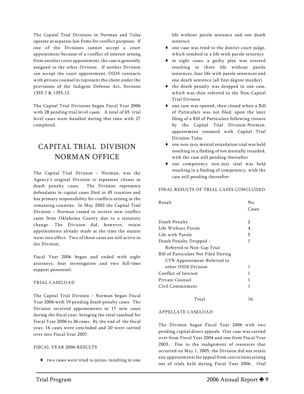The Capital Trial Divisions in Norman and Tulsa operate as separate law firms for conflict purposes. If one of the Divisions cannot accept a court appointment because of a conflict of interest arising from another court appointment, the case is generally assigned to the other Division. If neither Division can accept the court appointment, OIDS contracts with private counsel to represent the client under the provisions of the Indigent Defense Act, Sections 1355.7 & 1355.13.

The Capital Trial Divisions began Fiscal Year 2006 with 28 pending trial level cases. A total of 65 trial level cases were handled during this time with 27 completed.

## *CAPITAL TRIAL DIVISION NORMAN OFFICE*

The Capital Trial Division – Norman, was the Agency's original Division to represent clients in death penalty cases. The Division represents defendants in capital cases filed in 45 counties and has primary responsibility for conflicts arising in the remaining counties. In May 2003 the Capital Trial Division – Norman ceased to receive new conflict cases from Oklahoma County due to a statutory change. The Division did, however, retain appointments already made at the time the statute went into effect. Two of those cases are still active in the Division.

Fiscal Year 2006 began and ended with eight attorneys, four investigators and two full-time support personnel.

#### TRIAL CASELOAD

The Capital Trial Division – Norman began Fiscal Year 2006 with 19 pending death penalty cases. The Division received appointments in 17 new cases during the fiscal year, bringing the total caseload for Fiscal Year 2006 to 36 cases. By the end of the fiscal year, 16 cases were concluded and 20 were carried over into Fiscal Year 2007.

#### FISCAL YEAR 2006 RESULTS

two cases were tried to juries, resulting in one

life without parole sentence and one death sentence

- one case was tried to the district court judge, which resulted in a life with parole sentence
- in eight cases, a guilty plea was entered resulting in three life without parole sentences, four life with parole sentences and one death sentence (all first degree murder)
- $\bullet$  the death penalty was dropped in one case, which was then referred to the Non-Capital Trial Division
- one case was opened, then closed when a Bill of Particulars was not filed; upon the later filing of a Bill of Particulars following closure by the Capital Trial Division-Norman, appointment resumed with Capital Trial Division-Tulsa
- one non-jury mental retardation trial was held resulting in a finding of not mentally retarded, with the case still pending thereafter
- one competency non-jury trial was held resulting in a finding of competency, with the case still pending thereafter

#### FINAL RESULTS OF TRIAL CASES CONCLUDED

| Result                               | No.           |
|--------------------------------------|---------------|
|                                      | Cases         |
|                                      |               |
| Death Penalty                        | $\mathcal{P}$ |
| Life Without Parole                  | 4             |
| Life with Parole                     | 5             |
| Death Penalty Dropped -              | 1             |
| Referred to Non-Cap Trial            |               |
| Bill of Particulars Not Filed During |               |
| CTN Appointment-Referred to          |               |
| other OIDS Division                  | 1             |
| Conflict of Interest                 | 1             |
| Private Counsel                      | 1             |
| Civil Commitment                     | 1             |
| Total                                | 16            |

#### APPELLATE CASELOAD

The Division began Fiscal Year 2006 with two pending capital direct appeals. One case was carried over from Fiscal Year 2004 and one from Fiscal Year 2003. Due to the realignment of resources that occurred on May 1, 2005, the Division did not retain any appointments for appeal from convictions arising out of trials held during Fiscal Year 2006. Oral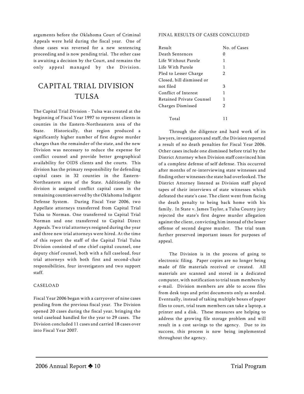arguments before the Oklahoma Court of Criminal Appeals were held during the fiscal year. One of those cases was reversed for a new sentencing proceeding and is now pending trial. The other case is awaiting a decision by the Court, and remains the only appeal managed by the Division.

### *CAPITAL TRIAL DIVISION TULSA*

The Capital Trial Division - Tulsa was created at the beginning of Fiscal Year 1997 to represent clients in counties in the Eastern-Northeastern area of the State. Historically, that region produced a significantly higher number of first degree murder charges than the remainder of the state, and the new Division was necessary to reduce the expense for conflict counsel and provide better geographical availability for OIDS clients and the courts. This division has the primary responsibility for defending capital cases in 32 counties in the Eastern-Northeastern area of the State. Additionally the division is assigned conflict capital cases in the remaining counties served by the Oklahoma Indigent Defense System. During Fiscal Year 2006, two Appellate attorneys transferred from Capital Trial Tulsa to Norman. One transferred to Capital Trial Norman and one transferred to Capital Direct Appeals. Two trial attorneys resigned during the year and three new trial attorneys were hired. At the time of this report the staff of the Capital Trial Tulsa Division consisted of one chief capital counsel, one deputy chief counsel, both with a full caseload, four trial attorneys with both first and second-chair responsibilities, four investigators and two support staff.

#### CASELOAD

Fiscal Year 2006 began with a carryover of nine cases pending from the previous fiscal year. The Division opened 20 cases during the fiscal year, bringing the total caseload handled for the year to 29 cases. The Division concluded 11 cases and carried 18 cases over into Fiscal Year 2007.

#### FINAL RESULTS OF CASES CONCLUDED

| Result                    | No. of Cases   |
|---------------------------|----------------|
| Death Sentences           | 0              |
| Life Without Parole       | 1              |
| Life With Parole          | 1              |
| Pled to Lesser Charge     | 2              |
| Closed, bill dismissed or |                |
| not filed                 | 3              |
| Conflict of Interest      | 1              |
| Retained Private Counsel  | 1              |
| Charges Dismissed         | $\overline{2}$ |
|                           |                |
| Total                     |                |

Through the diligence and hard work of its lawyers, investigators and staff, the Division reported a result of no death penalties for Fiscal Year 2006. Other cases include one dismissed before trial by the District Attorney when Division staff convinced him of a complete defense of self defense. This occurred after months of re-interviewing state witnesses and finding other witnesses the state had overlooked. The District Attorney listened as Division staff played tapes of their interviews of state witnesses which defeated the state's case. The client went from facing the death penalty to being back home with his family. In *State v. James Taylor*, a Tulsa County jury rejected the state's first degree murder allegation against the client, convicting him instead of the lesser offense of second degree murder. The trial team further preserved important issues for purposes of appeal.

The Division is in the process of going to electronic filing. Paper copies are no longer being made of file materials received or created. All materials are scanned and stored in a dedicated computer, with notification to trial team members by e-mail. Division members are able to access files from desk tops and print documents only as needed. Eventually, instead of taking multiple boxes of paper files to court, trial team members can take a laptop, a printer and a disk. These measures are helping to address the growing file storage problem and will result in a cost savings to the agency. Due to its success, this process is now being implemented throughout the agency.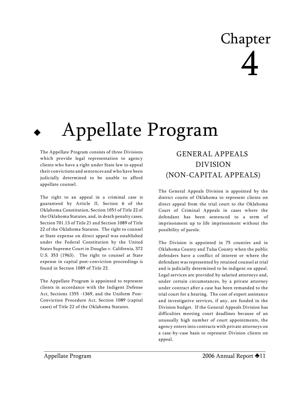# Chapter 4

# Appellate Program

The Appellate Program consists of three Divisions which provide legal representation to agency clients who have a right under State law to appeal their convictions and sentences and who have been judicially determined to be unable to afford appellate counsel.

The right to an appeal in a criminal case is guaranteed by Article II, Section 6 of the Oklahoma Constitution, Section 1051 of Title 22 of the Oklahoma Statutes, and, in death penalty cases, Section 701.13 of Title 21 and Section 1089 of Title 22 of the Oklahoma Statutes. The right to counsel at State expense on direct appeal was established under the Federal Constitution by the United States Supreme Court in *Douglas v. California,* 372 U.S. 353 (1963). The right to counsel at State expense in capital post-conviction proceedings is found in Section 1089 of Title 22.

The Appellate Program is appointed to represent clients in accordance with the Indigent Defense Act, Sections 1355 -1369*,* and the Uniform Post-Conviction Procedure Act, Section 1089 (capital cases) of Title 22 of the Oklahoma Statutes.

## *GENERAL APPEALS DIVISION (NON-CAPITAL APPEALS*)

The General Appeals Division is appointed by the district courts of Oklahoma to represent clients on direct appeal from the trial court to the Oklahoma Court of Criminal Appeals in cases where the defendant has been sentenced to a term of imprisonment up to life imprisonment without the possibility of parole.

The Division is appointed in 75 counties and in Oklahoma County and Tulsa County when the public defenders have a conflict of interest or where the defendant was represented by retained counsel at trial and is judicially determined to be indigent on appeal. Legal services are provided by salaried attorneys and, under certain circumstances, by a private attorney under contract after a case has been remanded to the trial court for a hearing. The cost of expert assistance and investigative services, if any, are funded in the Division budget. If the General Appeals Division has difficulties meeting court deadlines because of an unusually high number of court appointments, the agency enters into contracts with private attorneys on a case-by-case basis to represent Division clients on appeal.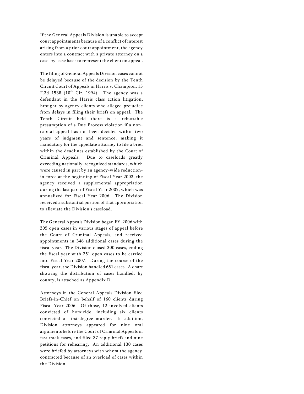If the General Appeals Division is unable to accept court appointments because of a conflict of interest arising from a prior court appointment, the agency enters into a contract with a private attorney on a case-by-case basis to represent the client on appeal.

The filing of General Appeals Division cases cannot be delayed because of the decision by the Tenth Circuit Court of Appeals in *Harris v. Champion*, 15 F.3d 1538 (10 $^{\rm th}$  Cir. 1994). The agency was a defendant in the *Harris* class action litigation, brought by agency clients who alleged prejudice from delays in filing their briefs on appeal. The Tenth Circuit held there is a rebuttable presumption of a Due Process violation if a noncapital appeal has not been decided within two years of judgment and sentence, making it mandatory for the appellate attorney to file a brief within the deadlines established by the Court of Criminal Appeals. Due to caseloads greatly exceeding nationally-recognized standards, which were caused in part by an agency-wide reductionin-force at the beginning of Fiscal Year 2003, the agency received a supplemental appropriation during the last part of Fiscal Year 2005, which was annualized for Fiscal Year 2006. The Division received a substantial portion of that appropriation to alleviate the Division's caseload.

The General Appeals Division began FY-2006 with 305 open cases in various stages of appeal before the Court of Criminal Appeals, and received appointments in 346 additional cases during the fiscal year. The Division closed 300 cases, ending the fiscal year with 351 open cases to be carried into Fiscal Year 2007. During the course of the fiscal year, the Division handled 651 cases. A chart showing the distribution of cases handled, by county, is attached as Appendix D.

Attorneys in the General Appeals Division filed Briefs-in-Chief on behalf of 160 clients during Fiscal Year 2006. Of those, 12 involved clients convicted of homicide; including six clients convicted of first-degree murder. In addition, Division attorneys appeared for nine oral arguments before the Court of Criminal Appeals in fast track cases, and filed 37 reply briefs and nine petitions for rehearing. An additional 130 cases were briefed by attorneys with whom the agency contracted because of an overload of cases within the Division.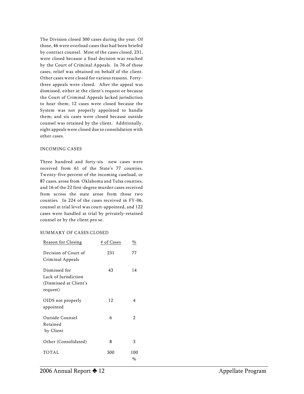The Division closed 300 cases during the year. Of those, 46 were overload cases that had been briefed by contract counsel. Most of the cases closed, 231, were closed because a final decision was reached by the Court of Criminal Appeals. In 76 of those cases, relief was obtained on behalf of the client. Other cases were closed for various reasons. Fortythree appeals were closed. After the appeal was dismissed, either at the client's request or because the Court of Criminal Appeals lacked jurisdiction to hear them; 12 cases were closed because the System was not properly appointed to handle them; and six cases were closed because outside counsel was retained by the client. Additionally, eight appeals were closed due to consolidation with other cases.

#### INCOMING CASES

Three hundred and forty-six new cases were received from 61 of the State's 77 counties. Twenty-five percent of the incoming caseload, or 87 cases, arose from Oklahoma and Tulsa counties, and 16 of the 22 first-degree murder cases received from across the state arose from those two counties. In 224 of the cases received in FY-06, counsel at trial level was court-appointed, and 122 cases were handled at trial by privately-retained counsel or by the client pro se.

#### SUMMARY OF CASES CLOSED

| Reason for Closing                                                          | # of Cases | %              |
|-----------------------------------------------------------------------------|------------|----------------|
| Decision of Court of<br>Criminal Appeals                                    | 231        | 77             |
| Dismissed for<br>Lack of Jurisdiction<br>(Dismissed at Client's<br>request) | 43         | 14             |
| OIDS not properly<br>appointed                                              | 12         | 4              |
| Outside Counsel<br>Retained<br>by Client                                    | 6          | $\overline{2}$ |
| Other (Consolidated)                                                        | 8          | 3              |
| TOTAL                                                                       | 300        | 100<br>%       |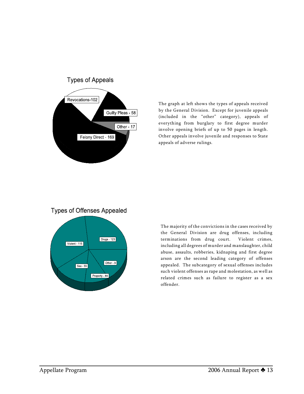

The graph at left shows the types of appeals received by the General Division. Except for juvenile appeals (included in the "other" category), appeals of everything from burglary to first degree murder involve opening briefs of up to 50 pages in length. Other appeals involve juvenile and responses to State appeals of adverse rulings.

#### **Types of Offenses Appealed**



The majority of the convictions in the cases received by the General Division are drug offenses, including terminations from drug court. Violent crimes, including all degrees of murder and manslaughter, child abuse, assaults, robberies, kidnaping and first degree arson are the second leading category of offenses appealed. The subcategory of sexual offenses includes such violent offenses as rape and molestation, as well as related crimes such as failure to register as a sex offender.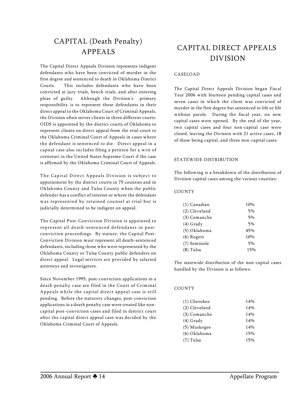## *CAPITAL (Death Penalty) APPEALS*

The Capital Direct Appeals Division represents indigent defendants who have been convicted of murder in the first degree and sentenced to death in Oklahoma District Courts. This includes defendants who have been convicted at jury trials, bench trials, and after entering pleas of guilty. Although the Division's primary responsibility is to represent these defendants in their direct appeal to the Oklahoma Court of Criminal Appeals, the Division often serves clients in three different courts. OIDS is appointed by the district courts of Oklahoma to represent clients on direct appeal from the trial court to the Oklahoma Criminal Court of Appeals in cases where the defendant is sentenced to die. Direct appeal in a capital case also includes filing a petition for a writ of certiorari in the United States Supreme Court if the case is affirmed by the Oklahoma Criminal Court of Appeals.

The Capital Direct Appeals Division is subject to appointment by the district courts in 75 counties and in Oklahoma County and Tulsa County when the public defender has a conflict of interest or where the defendant was represented by retained counsel at trial but is judicially determined to be indigent on appeal.

The Capital Post-Conviction Division is appointed to represent all death-sentenced defendants in postconviction proceedings. By statute, the Capital Post-Conviction Division must represent all death-sentenced defendants, including those who were represented by the Oklahoma County or Tulsa County public defenders on direct appeal. Legal services are provided by salaried attorneys and investigators.

Since November 1995, post-conviction applications in a death penalty case are filed in the Court of Criminal Appeals while the capital direct appeal case is still pending. Before the statutory changes, post-conviction applications in a death penalty case were treated like noncapital post-conviction cases and filed in district court after the capital direct appeal case was decided by the Oklahoma Criminal Court of Appeals.

## *CAPITAL DIRECT APPEALS DIVISION*

#### CASELOAD

The Capital Direct Appeals Division began Fiscal Year 2006 with fourteen pending capital cases and seven cases in which the client was convicted of murder in the first degree but sentenced to life or life without parole. During the fiscal year, six new capital cases were opened. By the end of the year, two capital cases and four non-capital case were closed, leaving the Division with 21 active cases, 18 of these being capital, and three non-capital cases.

#### STATEWIDE DISTRIBUTION

The following is a breakdown of the distribution of Division capital cases among the various counties:

#### *COUNTY*

| (1) Canadian  | 10% |
|---------------|-----|
| (2) Cleveland | 5%  |
| (3) Comanche  | 5%  |
| $(4)$ Grady   | 5%  |
| (5) Oklahoma  | 45% |
| $(6)$ Rogers  | 10% |
| (7) Seminole  | 5%  |
| $(8)$ Tulsa   | 15% |

The statewide distribution of the non-capital cases handled by the Division is as follows:

#### *COUNTY*

| (1) Cherokee  | 14% |
|---------------|-----|
| (2) Cleveland | 14% |
| (3) Comanche  | 14% |
| (4) Grady     | 14% |
| (5) Muskogee  | 14% |
| (6) Oklahoma  | 15% |
| (7) Tulsa     | 15% |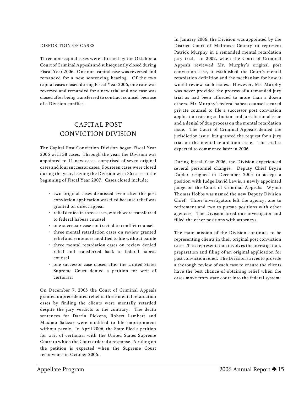#### DISPOSITION OF CASES

Three non-capital cases were affirmed by the Oklahoma Court of Criminal Appeals and subsequently closed during Fiscal Year 2006. One non-capital case was reversed and remanded for a new sentencing hearing. Of the two capital cases closed during Fiscal Year 2006, one case was reversed and remanded for a new trial and one case was closed after being transferred to contract counsel because of a Division conflict.

### *CAPITAL POST CONVICTION DIVISION*

The Capital Post Conviction Division began Fiscal Year 2006 with 38 cases. Through the year, the Division was appointed to 11 new cases, comprised of seven original cases and four successor cases. Fourteen cases were closed during the year, leaving the Division with 36 cases at the beginning of Fiscal Year 2007. Cases closed include:

- two original cases dismissed even after the post conviction application was filed because relief was granted on direct appeal
- relief denied in three cases, which were transferred to federal habeas counsel
- one successor case contracted to conflict counsel
- three mental retardation cases on review granted relief and sentences modified to life without parole
- three mental retardation cases on review denied relief and transferred back to federal habeas counsel
- one successor case closed after the United States Supreme Court denied a petition for writ of certiorari

On December 7, 2005 the Court of Criminal Appeals granted unprecedented relief in three mental retardation cases by finding the clients were mentally retarded despite the jury verdicts to the contrary. The death sentences for Darrin Pickens, Robert Lambert and Maximo Salazar were modified to life imprisonment without parole. In April 2006, the State filed a petition for writ of certiorari with the United States Supreme Court to which the Court ordered a response. A ruling on the petition is expected when the Supreme Court reconvenes in October 2006.

In January 2006, the Division was appointed by the District Court of McIntosh County to represent Patrick Murphy in a remanded mental retardation jury trial. In 2002, when the Court of Criminal Appeals reviewed Mr. Murphy's original post conviction case, it established the Court's mental retardation definition and the mechanism for how it would review such issues. However, Mr. Murphy was never provided the process of a remanded jury trial as had been afforded to more than a dozen others. Mr. Murphy's federal habeas counsel secured private counsel to file a successor post conviction application raising an Indian land jurisdictional issue and a denial of due process on the mental retardation issue. The Court of Criminal Appeals denied the jurisdiction issue, but granted the request for a jury trial on the mental retardation issue. The trial is expected to commence later in 2006.

During Fiscal Year 2006, the Division experienced several personnel changes. Deputy Chief Bryan Dupler resigned in December 2005 to accept a position with Judge David Lewis, a newly appointed judge on the Court of Criminal Appeals. Wyndi Thomas Hobbs was named the new Deputy Division Chief. Three investigators left the agency, one to retirement and two to pursue positions with other agencies. The Division hired one investigator and filled the other positions with attorneys.

The main mission of the Division continues to be representing clients in their original post conviction cases. This representation involves the investigation, preparation and filing of an original application for post conviction relief. The Division strives to provide a thorough review of each case to ensure the clients have the best chance of obtaining relief when the cases move from state court into the federal system.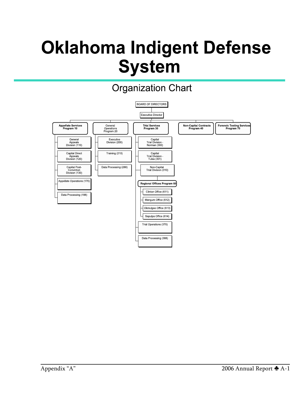# **Oklahoma Indigent Defense System**

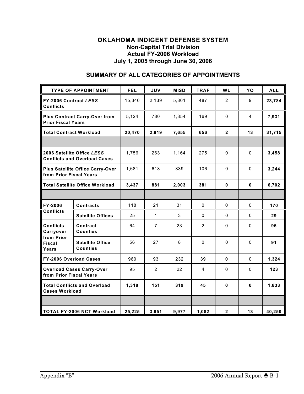#### **OKLAHOMA INDIGENT DEFENSE SYSTEM Non-Capital Trial Division Actual FY-2006 Workload July 1, 2005 through June 30, 2006**

|                                                                       | <b>TYPE OF APPOINTMENT</b>                                        | <b>FEL</b> | <b>JUV</b>     | <b>MISD</b> | <b>TRAF</b>    | <b>WL</b>      | YO           | <b>ALL</b> |
|-----------------------------------------------------------------------|-------------------------------------------------------------------|------------|----------------|-------------|----------------|----------------|--------------|------------|
| FY-2006 Contract LESS<br><b>Conflicts</b>                             |                                                                   | 15,346     | 2,139          | 5,801       | 487            | $\overline{2}$ | 9            | 23,784     |
| <b>Prior Fiscal Years</b>                                             | <b>Plus Contract Carry-Over from</b>                              | 5,124      | 780            | 1,854       | 169            | $\mathbf 0$    | 4            | 7,931      |
| <b>Total Contract Workload</b>                                        |                                                                   | 20,470     | 2,919          | 7,655       | 656            | $\overline{2}$ | 13           | 31,715     |
|                                                                       |                                                                   |            |                |             |                |                |              |            |
|                                                                       | 2006 Satellite Office LESS<br><b>Conflicts and Overload Cases</b> | 1,756      | 263            | 1,164       | 275            | $\Omega$       | $\Omega$     | 3,458      |
| <b>Plus Satellite Office Carry-Over</b><br>from Prior Fiscal Years    |                                                                   | 1,681      | 618            | 839         | 106            | $\mathbf 0$    | $\Omega$     | 3,244      |
| <b>Total Satellite Office Workload</b>                                |                                                                   | 3,437      | 881            | 2,003       | 381            | $\mathbf{0}$   | $\mathbf{0}$ | 6,702      |
|                                                                       |                                                                   |            |                |             |                |                |              |            |
| FY-2006<br><b>Conflicts</b>                                           | <b>Contracts</b>                                                  | 118        | 21             | 31          | $\mathbf 0$    | $\mathbf 0$    | $\mathbf{0}$ | 170        |
|                                                                       | <b>Satellite Offices</b>                                          | 25         | $\mathbf{1}$   | 3           | $\mathbf 0$    | $\Omega$       | 0            | 29         |
| <b>Conflicts</b><br>Carryover<br>from Prior<br><b>Fiscal</b><br>Years | Contract<br><b>Counties</b>                                       | 64         | $\overline{7}$ | 23          | $\overline{2}$ | $\mathbf{0}$   | $\mathbf{0}$ | 96         |
|                                                                       | <b>Satellite Office</b><br><b>Counties</b>                        | 56         | 27             | 8           | $\mathbf 0$    | $\mathbf 0$    | $\mathbf{0}$ | 91         |
| FY-2006 Overload Cases                                                |                                                                   | 960        | 93             | 232         | 39             | $\mathbf{0}$   | $\mathbf{0}$ | 1,324      |
| <b>Overload Cases Carry-Over</b><br>from Prior Fiscal Years           |                                                                   | 95         | $\overline{2}$ | 22          | 4              | $\mathbf 0$    | 0            | 123        |
| <b>Total Conflicts and Overload</b><br><b>Cases Workload</b>          |                                                                   | 1,318      | 151            | 319         | 45             | $\bf{0}$       | 0            | 1,833      |
|                                                                       |                                                                   |            |                |             |                |                |              |            |
| <b>TOTAL FY-2006 NCT Workload</b>                                     |                                                                   | 25,225     | 3,951          | 9,977       | 1,082          | $\mathbf{2}$   | 13           | 40,250     |

### **SUMMARY OF ALL CATEGORIES OF APPOINTMENTS**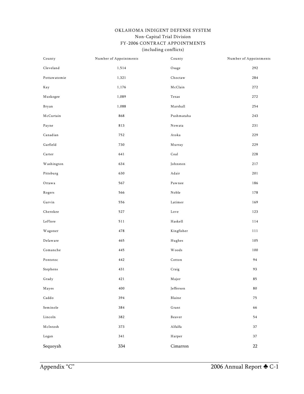#### OKLAHOMA INDIGENT DEFENSE SYSTEM Non-Capital Trial Division FY-2006 CONTRACT APPOINTMENTS (including conflicts)

| County                                     | Number of Appointments | County                                      | Number of Appointments |
|--------------------------------------------|------------------------|---------------------------------------------|------------------------|
| $\operatorname{Cleveland}$                 | 1,514                  | Osage                                       | 292                    |
| Pottawatomie                               | 1,321                  | ${\bf Ch}$ octaw                            | 284                    |
| Kay                                        | 1,176                  | McClain                                     | 272                    |
| Muskogee                                   | 1,089                  | $\operatorname{\mathsf{Texas}}$             | 272                    |
| Bryan                                      | 1,088                  | $\operatorname{Marshall}$                   | 254                    |
| $\operatorname{\mathsf{McCurtain}}$        | 868                    | Pushmataha                                  | 243                    |
| Payne                                      | 813                    | $\sqrt{\hbox{N}\sigma}$ own ta              | 231                    |
| Canadian                                   | 752                    | Atoka                                       | 229                    |
| ${\bf G}$ arfield                          | 730                    | Murray                                      | 229                    |
| Carter                                     | 641                    | Coal                                        | 228                    |
| Washington                                 | 634                    | Johnston                                    | 217                    |
| Pittsburg                                  | 630                    | Adair                                       | 201                    |
| Ottawa                                     | 567                    | Pawnee                                      | 186                    |
| Rogers                                     | 566                    | $\rm{Noble}$                                | 178                    |
| ${\rm G}$ arvin                            | 556                    | ${\tt Latimer}$                             | 169                    |
| Cherokee                                   | 527                    | $_{\operatorname{Love}}$                    | 123                    |
| LeFlore                                    | 511                    | Haskell                                     | 114                    |
| Wagoner                                    | 478                    | Kingfisher                                  | 111                    |
| Delaware                                   | 465                    | Hughes                                      | 105                    |
| Comanche                                   | 445                    | <b>Woods</b>                                | 100                    |
| Pontotoc                                   | 442                    | $\footnotesize\ensuremath{\mathsf{Cotton}}$ | 94                     |
| Stephens                                   | 431                    | Craig                                       | 93                     |
| $\operatorname{Grad}$ y                    | $421\,$                | $\rm M$ ajor                                | 85                     |
| Mayes                                      | $400\,$                | $\operatorname{\sf Jefferson}$              | $\bf 80$               |
| $\operatorname{Cadd}$ o                    | 394                    | Blaine                                      | 75                     |
| ${\tt Seminole}$                           | 384                    | $\operatorname{Grant}$                      | 66                     |
| $\rm Lincoln$                              | 382                    | Beaver                                      | 54                     |
| $\operatorname*{McIntosh}% \mathcal{M}(n)$ | 373                    | $\rm Alfalfa$                               | $37\,$                 |
| $_{\rm Logan}$                             | 341                    | Harper                                      | $37\,$                 |
| Sequoyah                                   | 334                    | $Cimarron$                                  | $22\,$                 |